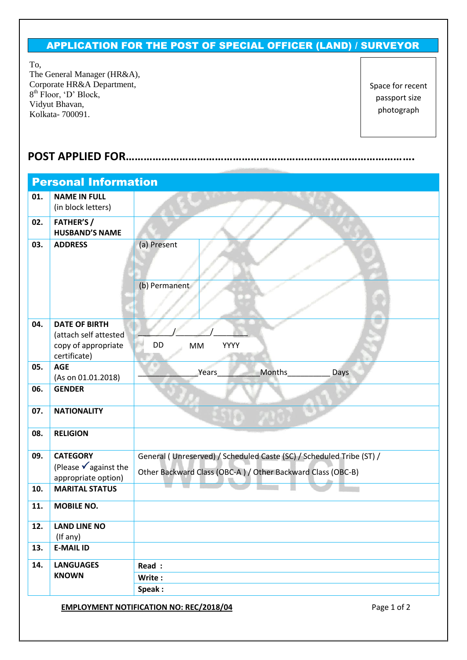## APPLICATION FOR THE POST OF SPECIAL OFFICER (LAND) / SURVEYOR

To,

The General Manager (HR&A), Corporate HR&A Department, 8<sup>th</sup> Floor, 'D' Block, Vidyut Bhavan, Kolkata- 700091.

Space for recent passport size photograph

## **POST APPLIED FOR…………………………………………………………………………………….**

| <b>Personal Information</b> |                                                                                      |                                                                                                                                     |  |  |  |  |  |
|-----------------------------|--------------------------------------------------------------------------------------|-------------------------------------------------------------------------------------------------------------------------------------|--|--|--|--|--|
| 01.                         | <b>NAME IN FULL</b><br>(in block letters)                                            |                                                                                                                                     |  |  |  |  |  |
| 02.                         | <b>FATHER'S /</b><br><b>HUSBAND'S NAME</b>                                           |                                                                                                                                     |  |  |  |  |  |
| 03.                         | <b>ADDRESS</b>                                                                       | (a) Present                                                                                                                         |  |  |  |  |  |
|                             |                                                                                      | (b) Permanent                                                                                                                       |  |  |  |  |  |
| 04.                         | <b>DATE OF BIRTH</b><br>(attach self attested<br>copy of appropriate<br>certificate) | DD<br><b>MM</b><br>YYYY                                                                                                             |  |  |  |  |  |
| 05.                         | <b>AGE</b><br>(As on 01.01.2018)                                                     | Months<br>Years<br>Days                                                                                                             |  |  |  |  |  |
| 06.                         | <b>GENDER</b>                                                                        |                                                                                                                                     |  |  |  |  |  |
| 07.                         | <b>NATIONALITY</b>                                                                   |                                                                                                                                     |  |  |  |  |  |
| 08.                         | <b>RELIGION</b>                                                                      |                                                                                                                                     |  |  |  |  |  |
| 09.                         | <b>CATEGORY</b><br>(Please $\sqrt{ }$ against the<br>appropriate option)             | General (Unreserved) / Scheduled Caste (SC) / Scheduled Tribe (ST) /<br>Other Backward Class (OBC-A) / Other Backward Class (OBC-B) |  |  |  |  |  |
| 10.                         | <b>MARITAL STATUS</b>                                                                |                                                                                                                                     |  |  |  |  |  |
| 11.                         | <b>MOBILE NO.</b>                                                                    |                                                                                                                                     |  |  |  |  |  |
| 12.                         | <b>LAND LINE NO</b><br>(If any)                                                      |                                                                                                                                     |  |  |  |  |  |
| 13.                         | <b>E-MAIL ID</b>                                                                     |                                                                                                                                     |  |  |  |  |  |
| 14.                         | <b>LANGUAGES</b><br><b>KNOWN</b>                                                     | Read :                                                                                                                              |  |  |  |  |  |
|                             |                                                                                      | Write:                                                                                                                              |  |  |  |  |  |
|                             |                                                                                      | Speak:                                                                                                                              |  |  |  |  |  |
|                             |                                                                                      | <b>EMPLOYMENT NOTIFICATION NO: REC/2018/04</b><br>Page 1 of 2                                                                       |  |  |  |  |  |